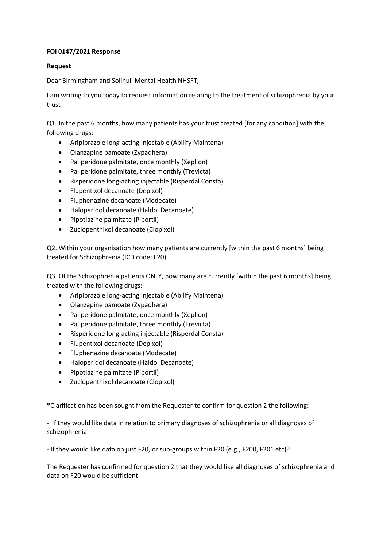## **FOI 0147/2021 Response**

## **Request**

Dear Birmingham and Solihull Mental Health NHSFT,

I am writing to you today to request information relating to the treatment of schizophrenia by your trust

Q1. In the past 6 months, how many patients has your trust treated [for any condition] with the following drugs:

- Aripiprazole long-acting injectable (Abilify Maintena)
- Olanzapine pamoate (Zypadhera)
- Paliperidone palmitate, once monthly (Xeplion)
- Paliperidone palmitate, three monthly (Trevicta)
- Risperidone long-acting injectable (Risperdal Consta)
- Flupentixol decanoate (Depixol)
- Fluphenazine decanoate (Modecate)
- Haloperidol decanoate (Haldol Decanoate)
- Pipotiazine palmitate (Piportil)
- Zuclopenthixol decanoate (Clopixol)

Q2. Within your organisation how many patients are currently [within the past 6 months] being treated for Schizophrenia (ICD code: F20)

Q3. Of the Schizophrenia patients ONLY, how many are currently [within the past 6 months] being treated with the following drugs:

- Aripiprazole long-acting injectable (Abilify Maintena)
- Olanzapine pamoate (Zypadhera)
- Paliperidone palmitate, once monthly (Xeplion)
- Paliperidone palmitate, three monthly (Trevicta)
- Risperidone long-acting injectable (Risperdal Consta)
- Flupentixol decanoate (Depixol)
- Fluphenazine decanoate (Modecate)
- Haloperidol decanoate (Haldol Decanoate)
- Pipotiazine palmitate (Piportil)
- Zuclopenthixol decanoate (Clopixol)

\*Clarification has been sought from the Requester to confirm for question 2 the following:

- If they would like data in relation to primary diagnoses of schizophrenia or all diagnoses of schizophrenia.

- If they would like data on just F20, or sub-groups within F20 (e.g., F200, F201 etc)?

The Requester has confirmed for question 2 that they would like all diagnoses of schizophrenia and data on F20 would be sufficient.